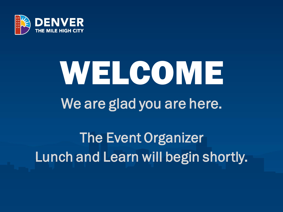

# WELCOME We are glad you are here.

### The Event Organizer Lunch and Learn will begin shortly.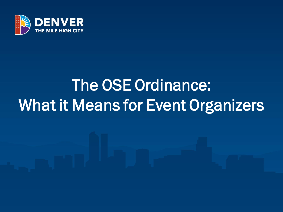

# The OSE Ordinance: What it Means for Event Organizers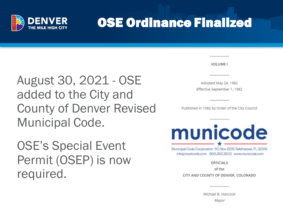

### OSE Ordinance Finalized

**VOLUME I** 

August 30, 2021 - OSE added to the City and County of Denver Revised Municipal Code.

OSE's Special Event Permit (OSEP) is now required.

Adopted May 24, 1982 Effective September 1, 1982

Published in 1982 by Order of the City Council



Municipal Code Corporation P.O. Box 2235 Tallahassee, FL 32316 info@municode.com 800.262.2633 www.municode.com

**OFFICIALS** 

of the

CITY AND COUNTY OF DENVER, COLORADO

Michael B. Hancock Mayor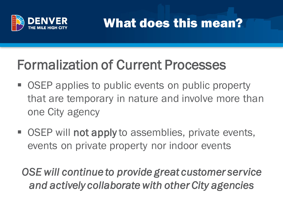

What does this mean?

### Formalization of Current Processes

- OSEP applies to public events on public property that are temporary in nature and involve more than one City agency
- OSEP will not apply to assemblies, private events, events on private property nor indoor events

*OSE will continue to provide great customer service and actively collaborate with other City agencies*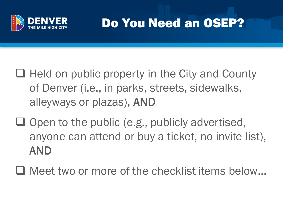

### Do You Need an OSEP?

- ❑ Held on public property in the City and County of Denver (i.e., in parks, streets, sidewalks, alleyways or plazas), AND
- ❑ Open to the public (e.g., publicly advertised, anyone can attend or buy a ticket, no invite list), AND
- ❑ Meet two or more of the checklist items below…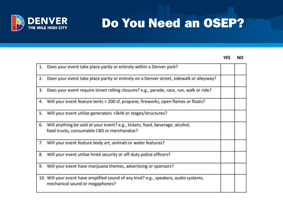

### Do You Need an OSEP?

#### **YES NO**

| 1. | Does your event take place partly or entirely within a Denver park?                                                         |  |
|----|-----------------------------------------------------------------------------------------------------------------------------|--|
| 2. | Does your event take place partly or entirely on a Denver street, sidewalk or alleyway?                                     |  |
| 3. | Does your event require street rolling closures? e.g., parade, race, run, walk or ride?                                     |  |
|    | 4. Will your event feature tents > 200 sf, propane, fireworks, open flames or floats?                                       |  |
| 5. | Will your event utilize generators >5kW or stages/structures?                                                               |  |
| 6. | Will anything be sold at your event? e.g., tickets, food, beverage, alcohol,<br>food trucks, consumable CBD or merchandise? |  |
|    | 7. Will your event feature body art, animals or water features?                                                             |  |
| 8. | Will your event utilize hired security or off-duty police officers?                                                         |  |
| 9. | Will your event have marijuana themes, advertising or sponsors?                                                             |  |
|    | 10. Will your event have amplified sound of any kind? e.g., speakers, audio systems,<br>mechanical sound or megaphones?     |  |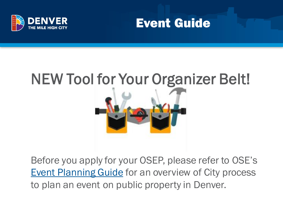



### NEW Tool for Your Organizer Belt!



Before you apply for your OSEP, please refer to OSE's **[Event Planning Guide](https://www.denvergov.org/files/assets/public/special-events/documents/requirements/eventplanningguidefinal2021.pdf) for an overview of City process** to plan an event on public property in Denver.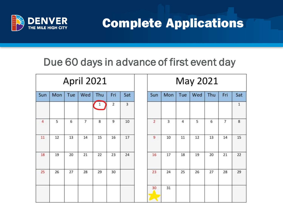

Fri

 $\overline{7}$ 

Sat

 $\mathbf{1}$ 

### Due 60 days in advance of first event day

|     |     |     | <b>April 2021</b> |       |                |     |                |     |     | May 2021 |        |
|-----|-----|-----|-------------------|-------|----------------|-----|----------------|-----|-----|----------|--------|
| Sun | Mon | Tue | Wed               | Thu   | Fri            | Sat | Sun            | Mon | Tue | Wed      | Thu    |
|     |     |     |                   | $1\,$ | $\overline{2}$ | 3   |                |     |     |          |        |
| 4   | 5   | 6   | $\overline{7}$    | 8     | 9              | 10  | $\overline{2}$ | 3   | 4   | 5        | 6      |
| 11  | 12  | 13  | 14                | 15    | 16             | 17  | 9              | 10  | 11  | 12       | $13\,$ |
| 18  | 19  | 20  | 21                | 22    | 23             | 24  | 16             | 17  | 18  | 19       | 20     |
| 25  | 26  | 27  | 28                | 29    | 30             |     | 23             | 24  | 25  | 26       | 27     |
|     |     |     |                   |       |                |     | 30             | 31  |     |          |        |
|     |     |     |                   |       |                |     |                |     |     |          |        |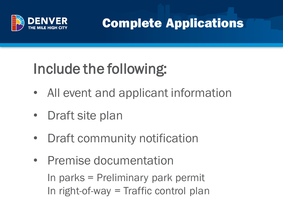

## Include the following:

- All event and applicant information
- Draft site plan
- Draft community notification
- Premise documentation In parks = Preliminary park permit In right-of-way = Traffic control plan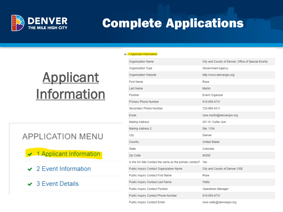

▲ 1 Applicant Information

### **Applicant** Information

### **APPLICATION MENU**

← 1 Applicant Information

- $\sim$  2 Event Information
- $\vee$  3 Event Details

| Organization Name                                           | City and County of Denver, Office of Special Events |
|-------------------------------------------------------------|-----------------------------------------------------|
| Organization Type                                           | Government Agency                                   |
| Organization Website                                        | http://www.denvergov.org                            |
| First Name                                                  | Rose                                                |
| Last Name                                                   | Martin                                              |
| Position                                                    | Event Organizer                                     |
| Primary Phone Number                                        | 616-550-4731                                        |
| Secondary Phone Number                                      | 720-865-4311                                        |
| Email                                                       | rose.martin@denvergov.org                           |
| Mailing Address                                             | 201 W. Colfax Ave.                                  |
| Mailing Address 2                                           | Ste. 1104                                           |
| City                                                        | Denver                                              |
| Country                                                     | <b>United States</b>                                |
| State                                                       | Colorado                                            |
| Zip Code                                                    | 80202                                               |
| Is the On-Site Contact the same as the primary contact? Yes |                                                     |
| Public Inquiry Contact Organization Name                    | City and County of Denver OSE                       |
| Public Inquiry Contact First Name                           | Rose                                                |
| Public Inquiry Contact Last Name                            | Watts                                               |
| Public Inquiry Contact Position                             | Operations Manager                                  |
| Public Inquiry Contact Phone Number                         | 616-550-4731                                        |
| Public Inquiry Contact Email                                | rose.watts@denvergov.org                            |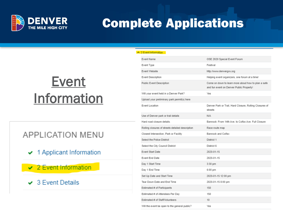

#### $\sim$  2 Event Information

### Event Information

### **APPLICATION MENU**

- $\vee$  1 Applicant Information
- ✔ 2 Event Information
- $\sim$  3 Event Details

| Event Name                                       | OSE 2020 Special Event Forum                                                                    |
|--------------------------------------------------|-------------------------------------------------------------------------------------------------|
| Event Type                                       | Festival                                                                                        |
| Event Website                                    | http://www.denvergov.org                                                                        |
| Event Description                                | Helping event organizers, one forum at a time!                                                  |
| Public Event Description                         | Come on down to learn more about how to plan a safe<br>and fun event on Denver Public Property! |
| Will your event held in a Denver Park?           | Yes                                                                                             |
| Upload your preliminary park permit(s) here      |                                                                                                 |
| Event Location                                   | Denver Park or Trail, Hard Closure, Rolling Closures of<br>streets                              |
| Use of Denver park or trail details              | N/A                                                                                             |
| Hard road closure details.                       | Bannock: From 14th Ave. to Colfax Ave. Full Closure                                             |
| Rolling closures of streets detailed description | Race route map                                                                                  |
| Closest Intersection, Park or Facility           | Bannock and Colfax                                                                              |
| Select the Police District                       | District 1                                                                                      |
| Select the City Council District                 | District 6                                                                                      |
| Event Start Date                                 | 2020-01-15                                                                                      |
| Event End Date                                   | 2020-01-15                                                                                      |
| Day 1 Start Time                                 | 3:30 pm                                                                                         |
| Day 1 End Time                                   | 6:00 pm                                                                                         |
| Set Up Date and Start Time                       | 2020-01-15 12:00 pm                                                                             |
| Tear Down Date and End Time                      | 2020-01-15 8:00 pm                                                                              |
| Estimated # of Participants                      | 150                                                                                             |
| Estimated # of Attendees Per Day                 | 150                                                                                             |
| Estimated # of Staff/Volunteers                  | 10 <sup>10</sup>                                                                                |
| Will the event be open to the general public?    | Yes                                                                                             |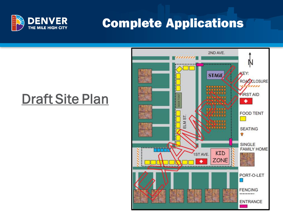

### Draft Site Plan

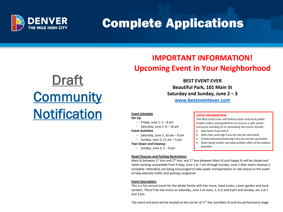

### **IMPORTANT INFORMATION! Upcoming Event in Your Neighborhood**

### Draft **Community [Notification](https://www.denvergov.org/files/assets/public/special-events/documents/new-folder/052121covidnotificationsample.pdf)**

**BEST EVENT EVER Beautiful Park, 101 Main St** Saturday and Sunday, June  $2 - 3$ 

www.besteventever.com

#### **Event Schedule**

**Set Up** 

- Friday, June  $1, 5 8$  pm
- Saturday, June 2,  $8 10$  am

#### **Event Activities**

- Saturday, June 2, 10 am  $-9$  pm
- Sunday, June 3, 11 am  $-5$  pm
- **Tear Down and Cleanup** 
	- Sunday, June  $3, 5 9$  pm

#### **Road Closures and Parking Restrictions**

Main St between 1st Ave and 2<sup>nd</sup> Ave, and 1st Ave between Main St and Happy St will be closed and meter parking unavailable from Friday, June 1 at 7 am through Sunday, June 3 after event cleanup is complete. Attendees are being encouraged to take public transportation or ride shares to the event to help alleviate traffic and parking congestion.

#### **Event Description**

This is a fun annual event for the whole family with live music, food trucks, a beer garden and local vendors. There'll be live music on Saturday, June 2 at noon, 2, 4, 6 and 8 pm and Sunday, Jan 3 at 1 and 3 pm.

The event entrance will be located at the corner of  $2^{nd}$  Ave and Main St and the performance stage

#### **COVID INFORMATION**

The Best Event Ever will follow state and local public health orders and guidelines to ensure a safe event. Everyone working at or attending the event should:

- Stay home if you feel ill
- Wear face coverings if you are not yet vaccinated
- Practice physical distancing if you are not yet vaccinated
- Wash hands and/or use hand sanitizer often at the stations provided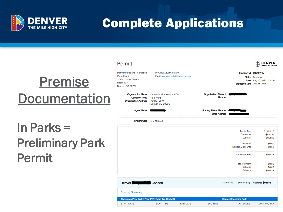

Permit

### Premise **Documentation**

### In Parks = Preliminary Park Permit

| Denver Parks and Recreation<br>Permitting)<br>201 W. Colfax Avenue<br>Room 1.G.1<br>Denver, CO 80202 | PHONE:(720) 913-0700<br>EMAIL:park.permits@denvergov.org                    |                                                     | Permit # R69237<br>Expiration Date Dec 31, 2021   | <b>Status</b> Tentative<br>Date Aug 10, 2021 12:11 PM |
|------------------------------------------------------------------------------------------------------|-----------------------------------------------------------------------------|-----------------------------------------------------|---------------------------------------------------|-------------------------------------------------------|
| <b>Organization Name</b><br><b>Customer Type</b><br><b>Organization Address</b>                      | Denver Philharmonic - 3476<br>Non-Profit<br>PO Box 6074<br>Denver, CO 80206 | <b>Organization Phone 1</b><br>Number               |                                                   |                                                       |
| <b>Agent Name</b>                                                                                    |                                                                             | <b>Primary Phone Number</b><br><b>Email Address</b> |                                                   |                                                       |
| <b>System User</b>                                                                                   | <b>Erin McGuirk</b>                                                         |                                                     |                                                   |                                                       |
|                                                                                                      |                                                                             |                                                     | <b>Rental Fee</b><br><b>Discounts</b><br>Subtotal | \$1,496.25<br>$-$534.37$<br>\$961.88                  |
|                                                                                                      |                                                                             |                                                     | <b>Deposits</b><br><b>Deposit Discounts</b>       | \$0.00<br>\$0.00                                      |
|                                                                                                      |                                                                             |                                                     | <b>Total Permit Fee</b>                           | \$961.88                                              |
|                                                                                                      |                                                                             |                                                     | <b>Total Payment</b><br>Refunds<br><b>Balance</b> | \$0.00<br>\$0.00<br>\$961.88                          |

i∕ DENVER!

| <b>Denver</b>          | Concert                                              | 1 resource(s)                | <b>Subtotal: \$961.88</b><br>1 booking(s) |
|------------------------|------------------------------------------------------|------------------------------|-------------------------------------------|
| <b>Booking Summary</b> |                                                      |                              |                                           |
|                        | Cheesman Park: Entire Park (PER: Event (No Alcohol)) | <b>Center: Cheesman Park</b> |                                           |
| <b>START DATE</b>      | <b>END DATE</b><br><b>START TIME</b>                 | <b>END TIME</b>              | <b>ATTENDEE</b><br>AMT W/O TAX            |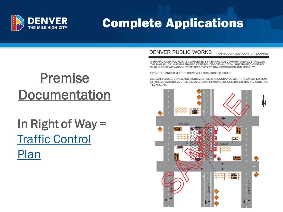

### Premise **Documentation**

### In Right of Way = [Traffic Control](https://www.denvergov.org/content/dam/denvergov/Portals/Transportation-Mobility/documents/permits/dpw-example-traffic-control-plan.pdf)  Plan

#### DENVER PUBLIC WORKS TRAFFIC CONTROL PLAN (TCP) EXAMPLE

A TRAFFIC CONTROL PLAN IS COMPLETED BY A BARRICADE COMPANY AND MUST FOLLOW THE MANUAL OF UNIFORM TRAFFIC CONTROL DEVICES (MUTCD). THE TRAFFIC CONTROL PLAN IS REVIEWED AND MUST BE APPROVED BY TRANSPORTATION AND MOBILITY.

EVENT ORGANIZER MUST RESOLVE ALL LOCAL ACCESS ISSUES.

ALL BARRICADES. CONES AND SIGNS MUST BE IN ACCORDANCE WITH THE LATEST EDITION OF THE MUTCD AND MUST BE INSTALLED AND REMOVED BY A CERTIFIED TRAFFIC CONTROL **TECHNICIAN.** 

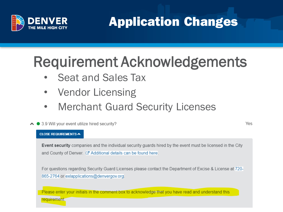

Application Changes

### Requirement Acknowledgements

- Seat and Sales Tax
- Vendor Licensing
- Merchant Guard Security Licenses
- ▲ 3.9 Will your event utilize hired security?

#### Yes

#### **CLOSE REQUIREMENTS A**

Event security companies and the individual security guards hired by the event must be licensed in the City and County of Denver. Z' Additional details can be found here.

For questions regarding Security Guard Licenses please contact the Department of Excise & License at 720-865-2764 or exlapplications@denvergov.org.

Please enter your initials in the comment box to acknowledge that you have read and understand this

requirement.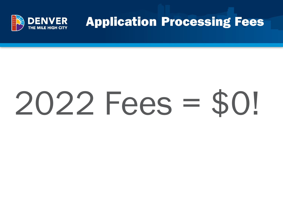

Application Processing Fees

# 2022 Fees = \$0!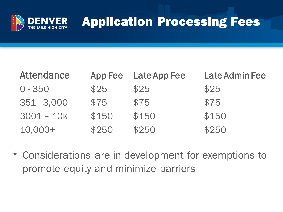

### Application Processing Fees

| <b>Attendance</b> | App Fee | <b>Late App Fee</b> | <b>Late Admin Fee</b> |
|-------------------|---------|---------------------|-----------------------|
| $0 - 350$         | \$25    | \$25                | \$25                  |
| $351 - 3,000$     | \$75    | \$75                | \$75                  |
| $3001 - 10k$      | \$150   | \$150               | \$150                 |
| $10,000+$         | \$250   | \$250               | \$250                 |

\* Considerations are in development for exemptions to promote equity and minimize barriers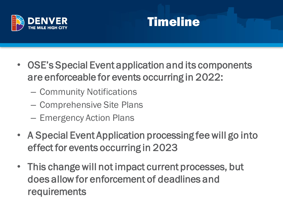



- OSE's Special Event application and its components are enforceable for events occurring in 2022:
	- Community Notifications
	- Comprehensive Site Plans
	- Emergency Action Plans
- A Special Event Application processing fee will go into effect for events occurring in 2023
- This change will not impact current processes, but does allow for enforcement of deadlines and requirements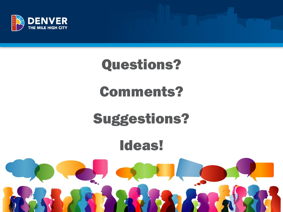

# Questions? Comments?

### Suggestions?

### Ideas!